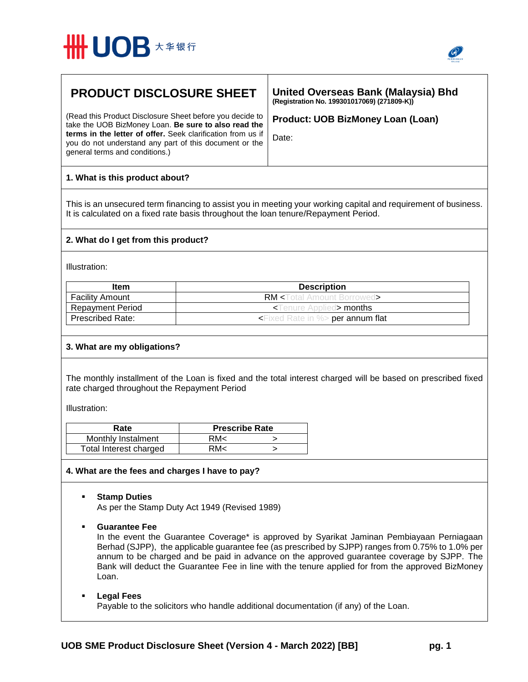



# **PRODUCT DISCLOSURE SHEET**

(Read this Product Disclosure Sheet before you decide to take the UOB BizMoney Loan. **Be sure to also read the terms in the letter of offer.** Seek clarification from us if you do not understand any part of this document or the general terms and conditions.)

**United Overseas Bank (Malaysia) Bhd (Registration No. 199301017069) (271809-K))** 

**Product: UOB BizMoney Loan (Loan)**

Date:

# **1. What is this product about?**

This is an unsecured term financing to assist you in meeting your working capital and requirement of business. It is calculated on a fixed rate basis throughout the loan tenure/Repayment Period.

### **2. What do I get from this product?**

Illustration:

| Item                    | <b>Description</b>                              |
|-------------------------|-------------------------------------------------|
| <b>Facility Amount</b>  | <b>RM</b> <total amount="" borrowed=""></total> |
| <b>Repayment Period</b> | $\prec$ Tenure Applied $\gt$ months             |
| <b>Prescribed Rate:</b> | $\leq$ Fixed Rate in %> per annum flat          |

### **3. What are my obligations?**

The monthly installment of the Loan is fixed and the total interest charged will be based on prescribed fixed rate charged throughout the Repayment Period

Illustration:

| Rate                   | <b>Prescribe Rate</b> |  |
|------------------------|-----------------------|--|
| Monthly Instalment     | RM<                   |  |
| Total Interest charged | RM<                   |  |

### **4. What are the fees and charges I have to pay?**

**Stamp Duties**

As per the Stamp Duty Act 1949 (Revised 1989)

### **Guarantee Fee**

In the event the Guarantee Coverage\* is approved by Syarikat Jaminan Pembiayaan Perniagaan Berhad (SJPP), the applicable guarantee fee (as prescribed by SJPP) ranges from 0.75% to 1.0% per annum to be charged and be paid in advance on the approved guarantee coverage by SJPP. The Bank will deduct the Guarantee Fee in line with the tenure applied for from the approved BizMoney Loan.

## **Legal Fees**

Payable to the solicitors who handle additional documentation (if any) of the Loan.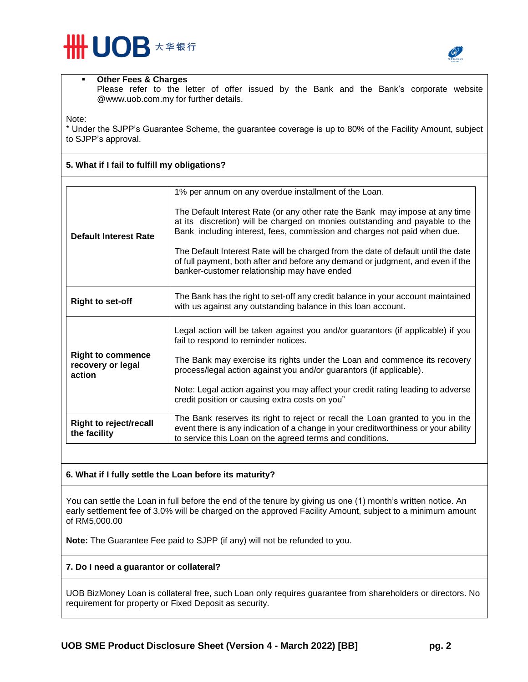



#### **Other Fees & Charges**

**5. What if I fail to fulfill my obligations?**

Please refer to the letter of offer issued by the Bank and the Bank's corporate website @www.uob.com.my for further details.

Note:

\* Under the SJPP's Guarantee Scheme, the guarantee coverage is up to 80% of the Facility Amount, subject to SJPP's approval.

| <b>Default Interest Rate</b>                            | 1% per annum on any overdue installment of the Loan.<br>The Default Interest Rate (or any other rate the Bank may impose at any time<br>at its discretion) will be charged on monies outstanding and payable to the<br>Bank including interest, fees, commission and charges not paid when due.<br>The Default Interest Rate will be charged from the date of default until the date<br>of full payment, both after and before any demand or judgment, and even if the<br>banker-customer relationship may have ended |
|---------------------------------------------------------|-----------------------------------------------------------------------------------------------------------------------------------------------------------------------------------------------------------------------------------------------------------------------------------------------------------------------------------------------------------------------------------------------------------------------------------------------------------------------------------------------------------------------|
| <b>Right to set-off</b>                                 | The Bank has the right to set-off any credit balance in your account maintained<br>with us against any outstanding balance in this loan account.                                                                                                                                                                                                                                                                                                                                                                      |
| <b>Right to commence</b><br>recovery or legal<br>action | Legal action will be taken against you and/or guarantors (if applicable) if you<br>fail to respond to reminder notices.<br>The Bank may exercise its rights under the Loan and commence its recovery<br>process/legal action against you and/or guarantors (if applicable).<br>Note: Legal action against you may affect your credit rating leading to adverse<br>credit position or causing extra costs on you"                                                                                                      |
| <b>Right to reject/recall</b><br>the facility           | The Bank reserves its right to reject or recall the Loan granted to you in the<br>event there is any indication of a change in your creditworthiness or your ability<br>to service this Loan on the agreed terms and conditions.                                                                                                                                                                                                                                                                                      |

### **6. What if I fully settle the Loan before its maturity?**

You can settle the Loan in full before the end of the tenure by giving us one (1) month's written notice. An early settlement fee of 3.0% will be charged on the approved Facility Amount, subject to a minimum amount of RM5,000.00

**Note:** The Guarantee Fee paid to SJPP (if any) will not be refunded to you.

### **7. Do I need a guarantor or collateral?**

UOB BizMoney Loan is collateral free, such Loan only requires guarantee from shareholders or directors. No requirement for property or Fixed Deposit as security.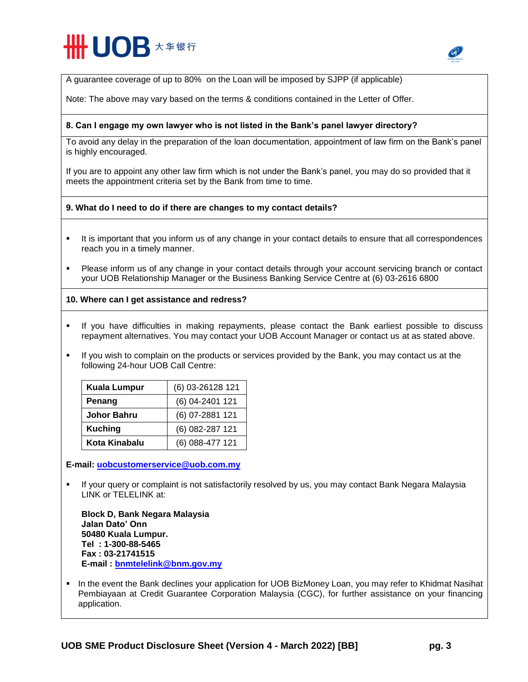# **# UOB \*\*\*\***



A guarantee coverage of up to 80% on the Loan will be imposed by SJPP (if applicable)

Note: The above may vary based on the terms & conditions contained in the Letter of Offer.

#### **8. Can I engage my own lawyer who is not listed in the Bank's panel lawyer directory?**

To avoid any delay in the preparation of the loan documentation, appointment of law firm on the Bank's panel is highly encouraged.

If you are to appoint any other law firm which is not under the Bank's panel, you may do so provided that it meets the appointment criteria set by the Bank from time to time.

#### **9. What do I need to do if there are changes to my contact details?**

- It is important that you inform us of any change in your contact details to ensure that all correspondences reach you in a timely manner.
- Please inform us of any change in your contact details through your account servicing branch or contact your UOB Relationship Manager or the Business Banking Service Centre at (6) 03-2616 6800

#### **10. Where can I get assistance and redress?**

- If you have difficulties in making repayments, please contact the Bank earliest possible to discuss repayment alternatives. You may contact your UOB Account Manager or contact us at as stated above.
- If you wish to complain on the products or services provided by the Bank, you may contact us at the following 24-hour UOB Call Centre:

| <b>Kuala Lumpur</b> | (6) 03-26128 121 |
|---------------------|------------------|
| Penang              | (6) 04-2401 121  |
| <b>Johor Bahru</b>  | (6) 07-2881 121  |
| <b>Kuching</b>      | (6) 082-287 121  |
| Kota Kinabalu       | (6) 088-477 121  |

**E-mail: [uobcustomerservice@uob.com.my](mailto:uobcustomerservice@uob.com.my)** 

 If your query or complaint is not satisfactorily resolved by us, you may contact Bank Negara Malaysia LINK or TELELINK at:

**Block D, Bank Negara Malaysia Jalan Dato' Onn 50480 Kuala Lumpur. Tel : 1-300-88-5465 Fax : 03-21741515 E-mail : [bnmtelelink@bnm.gov.my](mailto:bnmtelelink@bnm.gov.my)**

In the event the Bank declines your application for UOB BizMoney Loan, you may refer to Khidmat Nasihat Pembiayaan at Credit Guarantee Corporation Malaysia (CGC), for further assistance on your financing application.